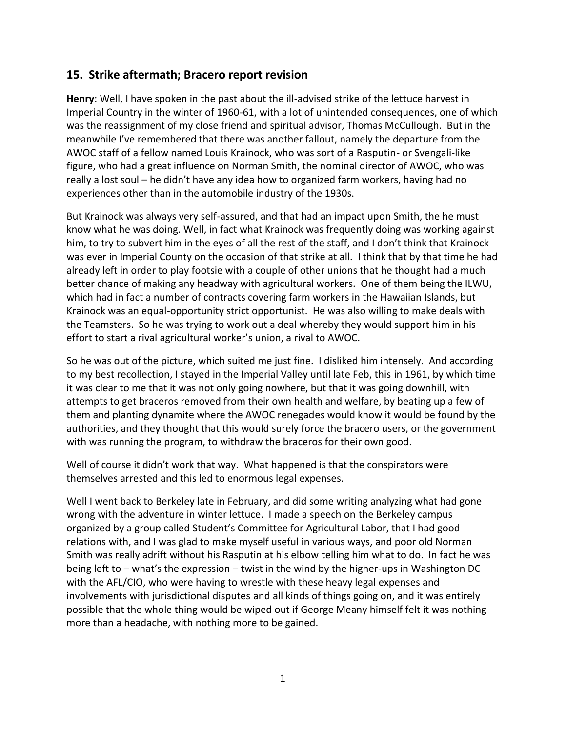## **15. Strike aftermath; Bracero report revision**

**Henry**: Well, I have spoken in the past about the ill-advised strike of the lettuce harvest in Imperial Country in the winter of 1960-61, with a lot of unintended consequences, one of which was the reassignment of my close friend and spiritual advisor, Thomas McCullough. But in the meanwhile I've remembered that there was another fallout, namely the departure from the AWOC staff of a fellow named Louis Krainock, who was sort of a Rasputin- or Svengali-like figure, who had a great influence on Norman Smith, the nominal director of AWOC, who was really a lost soul – he didn't have any idea how to organized farm workers, having had no experiences other than in the automobile industry of the 1930s.

But Krainock was always very self-assured, and that had an impact upon Smith, the he must know what he was doing. Well, in fact what Krainock was frequently doing was working against him, to try to subvert him in the eyes of all the rest of the staff, and I don't think that Krainock was ever in Imperial County on the occasion of that strike at all. I think that by that time he had already left in order to play footsie with a couple of other unions that he thought had a much better chance of making any headway with agricultural workers. One of them being the ILWU, which had in fact a number of contracts covering farm workers in the Hawaiian Islands, but Krainock was an equal-opportunity strict opportunist. He was also willing to make deals with the Teamsters. So he was trying to work out a deal whereby they would support him in his effort to start a rival agricultural worker's union, a rival to AWOC.

So he was out of the picture, which suited me just fine. I disliked him intensely. And according to my best recollection, I stayed in the Imperial Valley until late Feb, this in 1961, by which time it was clear to me that it was not only going nowhere, but that it was going downhill, with attempts to get braceros removed from their own health and welfare, by beating up a few of them and planting dynamite where the AWOC renegades would know it would be found by the authorities, and they thought that this would surely force the bracero users, or the government with was running the program, to withdraw the braceros for their own good.

Well of course it didn't work that way. What happened is that the conspirators were themselves arrested and this led to enormous legal expenses.

Well I went back to Berkeley late in February, and did some writing analyzing what had gone wrong with the adventure in winter lettuce. I made a speech on the Berkeley campus organized by a group called Student's Committee for Agricultural Labor, that I had good relations with, and I was glad to make myself useful in various ways, and poor old Norman Smith was really adrift without his Rasputin at his elbow telling him what to do. In fact he was being left to – what's the expression – twist in the wind by the higher-ups in Washington DC with the AFL/CIO, who were having to wrestle with these heavy legal expenses and involvements with jurisdictional disputes and all kinds of things going on, and it was entirely possible that the whole thing would be wiped out if George Meany himself felt it was nothing more than a headache, with nothing more to be gained.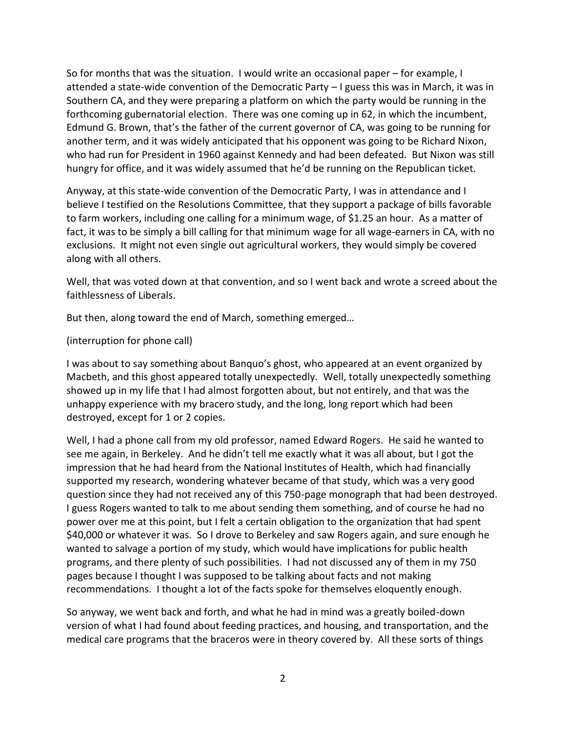So for months that was the situation. I would write an occasional paper – for example, I attended a state-wide convention of the Democratic Party – I guess this was in March, it was in Southern CA, and they were preparing a platform on which the party would be running in the forthcoming gubernatorial election. There was one coming up in 62, in which the incumbent, Edmund G. Brown, that's the father of the current governor of CA, was going to be running for another term, and it was widely anticipated that his opponent was going to be Richard Nixon, who had run for President in 1960 against Kennedy and had been defeated. But Nixon was still hungry for office, and it was widely assumed that he'd be running on the Republican ticket.

Anyway, at this state-wide convention of the Democratic Party, I was in attendance and I believe I testified on the Resolutions Committee, that they support a package of bills favorable to farm workers, including one calling for a minimum wage, of \$1.25 an hour. As a matter of fact, it was to be simply a bill calling for that minimum wage for all wage-earners in CA, with no exclusions. It might not even single out agricultural workers, they would simply be covered along with all others.

Well, that was voted down at that convention, and so I went back and wrote a screed about the faithlessness of Liberals.

But then, along toward the end of March, something emerged…

## (interruption for phone call)

I was about to say something about Banquo's ghost, who appeared at an event organized by Macbeth, and this ghost appeared totally unexpectedly. Well, totally unexpectedly something showed up in my life that I had almost forgotten about, but not entirely, and that was the unhappy experience with my bracero study, and the long, long report which had been destroyed, except for 1 or 2 copies.

Well, I had a phone call from my old professor, named Edward Rogers. He said he wanted to see me again, in Berkeley. And he didn't tell me exactly what it was all about, but I got the impression that he had heard from the National Institutes of Health, which had financially supported my research, wondering whatever became of that study, which was a very good question since they had not received any of this 750-page monograph that had been destroyed. I guess Rogers wanted to talk to me about sending them something, and of course he had no power over me at this point, but I felt a certain obligation to the organization that had spent \$40,000 or whatever it was. So I drove to Berkeley and saw Rogers again, and sure enough he wanted to salvage a portion of my study, which would have implications for public health programs, and there plenty of such possibilities. I had not discussed any of them in my 750 pages because I thought I was supposed to be talking about facts and not making recommendations. I thought a lot of the facts spoke for themselves eloquently enough.

So anyway, we went back and forth, and what he had in mind was a greatly boiled-down version of what I had found about feeding practices, and housing, and transportation, and the medical care programs that the braceros were in theory covered by. All these sorts of things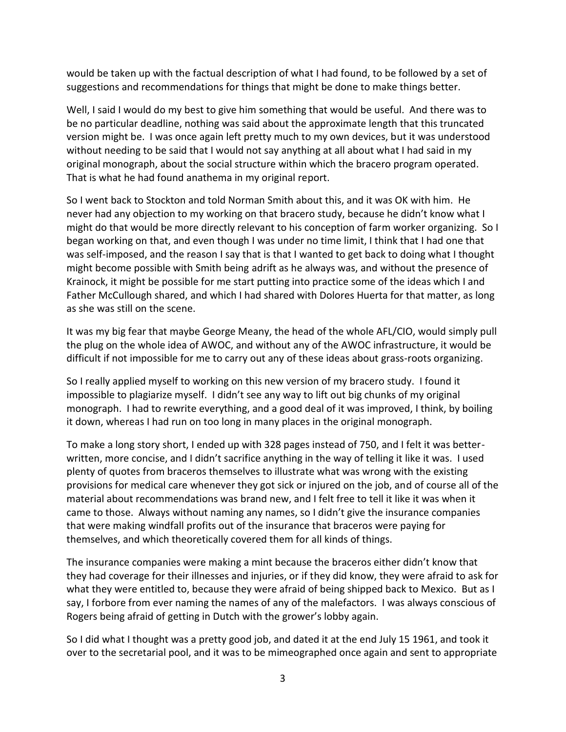would be taken up with the factual description of what I had found, to be followed by a set of suggestions and recommendations for things that might be done to make things better.

Well, I said I would do my best to give him something that would be useful. And there was to be no particular deadline, nothing was said about the approximate length that this truncated version might be. I was once again left pretty much to my own devices, but it was understood without needing to be said that I would not say anything at all about what I had said in my original monograph, about the social structure within which the bracero program operated. That is what he had found anathema in my original report.

So I went back to Stockton and told Norman Smith about this, and it was OK with him. He never had any objection to my working on that bracero study, because he didn't know what I might do that would be more directly relevant to his conception of farm worker organizing. So I began working on that, and even though I was under no time limit, I think that I had one that was self-imposed, and the reason I say that is that I wanted to get back to doing what I thought might become possible with Smith being adrift as he always was, and without the presence of Krainock, it might be possible for me start putting into practice some of the ideas which I and Father McCullough shared, and which I had shared with Dolores Huerta for that matter, as long as she was still on the scene.

It was my big fear that maybe George Meany, the head of the whole AFL/CIO, would simply pull the plug on the whole idea of AWOC, and without any of the AWOC infrastructure, it would be difficult if not impossible for me to carry out any of these ideas about grass-roots organizing.

So I really applied myself to working on this new version of my bracero study. I found it impossible to plagiarize myself. I didn't see any way to lift out big chunks of my original monograph. I had to rewrite everything, and a good deal of it was improved, I think, by boiling it down, whereas I had run on too long in many places in the original monograph.

To make a long story short, I ended up with 328 pages instead of 750, and I felt it was better written, more concise, and I didn't sacrifice anything in the way of telling it like it was. I used plenty of quotes from braceros themselves to illustrate what was wrong with the existing provisions for medical care whenever they got sick or injured on the job, and of course all of the material about recommendations was brand new, and I felt free to tell it like it was when it came to those. Always without naming any names, so I didn't give the insurance companies that were making windfall profits out of the insurance that braceros were paying for themselves, and which theoretically covered them for all kinds of things.

The insurance companies were making a mint because the braceros either didn't know that they had coverage for their illnesses and injuries, or if they did know, they were afraid to ask for what they were entitled to, because they were afraid of being shipped back to Mexico. But as I say, I forbore from ever naming the names of any of the malefactors. I was always conscious of Rogers being afraid of getting in Dutch with the grower's lobby again.

So I did what I thought was a pretty good job, and dated it at the end July 15 1961, and took it over to the secretarial pool, and it was to be mimeographed once again and sent to appropriate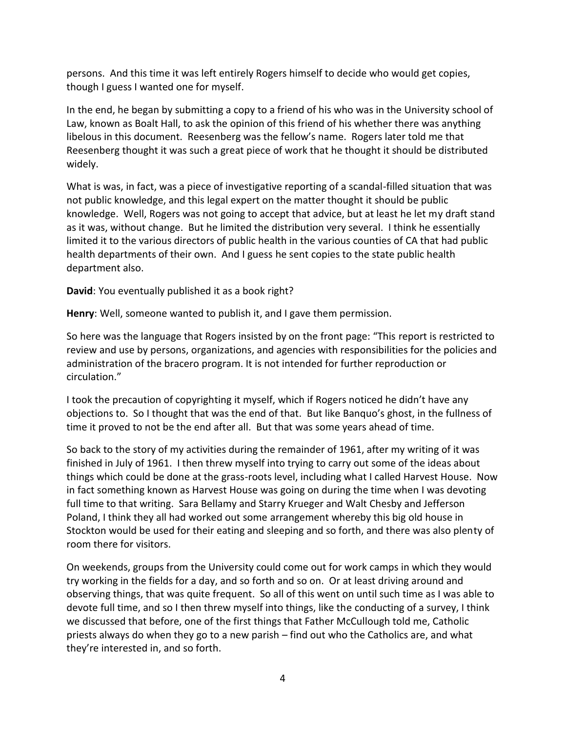persons. And this time it was left entirely Rogers himself to decide who would get copies, though I guess I wanted one for myself.

In the end, he began by submitting a copy to a friend of his who was in the University school of Law, known as Boalt Hall, to ask the opinion of this friend of his whether there was anything libelous in this document. Reesenberg was the fellow's name. Rogers later told me that Reesenberg thought it was such a great piece of work that he thought it should be distributed widely.

What is was, in fact, was a piece of investigative reporting of a scandal-filled situation that was not public knowledge, and this legal expert on the matter thought it should be public knowledge. Well, Rogers was not going to accept that advice, but at least he let my draft stand as it was, without change. But he limited the distribution very several. I think he essentially limited it to the various directors of public health in the various counties of CA that had public health departments of their own. And I guess he sent copies to the state public health department also.

**David**: You eventually published it as a book right?

**Henry**: Well, someone wanted to publish it, and I gave them permission.

So here was the language that Rogers insisted by on the front page: "This report is restricted to review and use by persons, organizations, and agencies with responsibilities for the policies and administration of the bracero program. It is not intended for further reproduction or circulation."

I took the precaution of copyrighting it myself, which if Rogers noticed he didn't have any objections to. So I thought that was the end of that. But like Banquo's ghost, in the fullness of time it proved to not be the end after all. But that was some years ahead of time.

So back to the story of my activities during the remainder of 1961, after my writing of it was finished in July of 1961. I then threw myself into trying to carry out some of the ideas about things which could be done at the grass-roots level, including what I called Harvest House. Now in fact something known as Harvest House was going on during the time when I was devoting full time to that writing. Sara Bellamy and Starry Krueger and Walt Chesby and Jefferson Poland, I think they all had worked out some arrangement whereby this big old house in Stockton would be used for their eating and sleeping and so forth, and there was also plenty of room there for visitors.

On weekends, groups from the University could come out for work camps in which they would try working in the fields for a day, and so forth and so on. Or at least driving around and observing things, that was quite frequent. So all of this went on until such time as I was able to devote full time, and so I then threw myself into things, like the conducting of a survey, I think we discussed that before, one of the first things that Father McCullough told me, Catholic priests always do when they go to a new parish – find out who the Catholics are, and what they're interested in, and so forth.